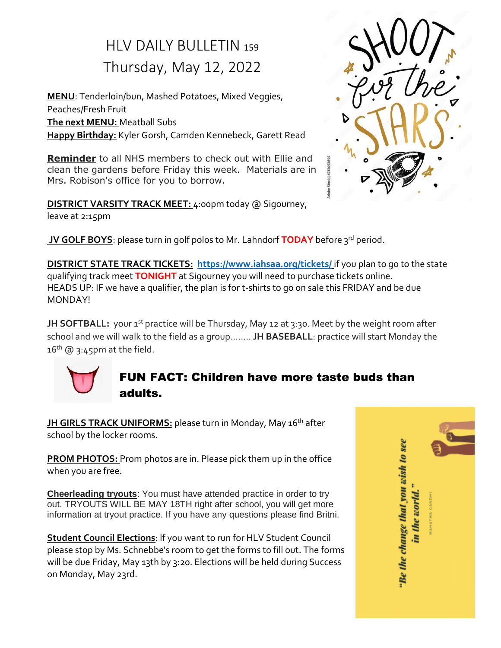### HLV DAILY BULLETIN <sup>159</sup> Thursday, May 12, 2022

**MENU**: Tenderloin/bun, Mashed Potatoes, Mixed Veggies, Peaches/Fresh Fruit **The next MENU:** Meatball Subs **Happy Birthday:** Kyler Gorsh, Camden Kennebeck, Garett Read

**Reminder** to all NHS members to check out with Ellie and clean the gardens before Friday this week. Materials are in Mrs. Robison's office for you to borrow.

**DISTRICT VARSITY TRACK MEET:** 4:00pm today @ Sigourney, leave at 2:15pm



**DISTRICT STATE TRACK TICKETS: <https://www.iahsaa.org/tickets/>** if you plan to go to the state qualifying track meet **TONIGHT** at Sigourney you will need to purchase tickets online. HEADS UP: IF we have a qualifier, the plan is for t-shirts to go on sale this FRIDAY and be due MONDAY!

**JH SOFTBALL:** your 1<sup>st</sup> practice will be Thursday, May 12 at 3:30. Meet by the weight room after school and we will walk to the field as a group.……. **JH BASEBALL**: practice will start Monday the  $16<sup>th</sup>$  (a) 3:45pm at the field.



### FUN FACT: Children have more taste buds than adults.

**JH GIRLS TRACK UNIFORMS:** please turn in Monday, May 16<sup>th</sup> after school by the locker rooms.

**PROM PHOTOS:** Prom photos are in. Please pick them up in the office when you are free.

**Cheerleading tryouts**: You must have attended practice in order to try out. TRYOUTS WILL BE MAY 18TH right after school, you will get more information at tryout practice. If you have any questions please find Britni.

**Student Council Elections**: If you want to run for HLV Student Council please stop by Ms. Schnebbe's room to get the forms to fill out. The forms will be due Friday, May 13th by 3:20. Elections will be held during Success on Monday, May 23rd.

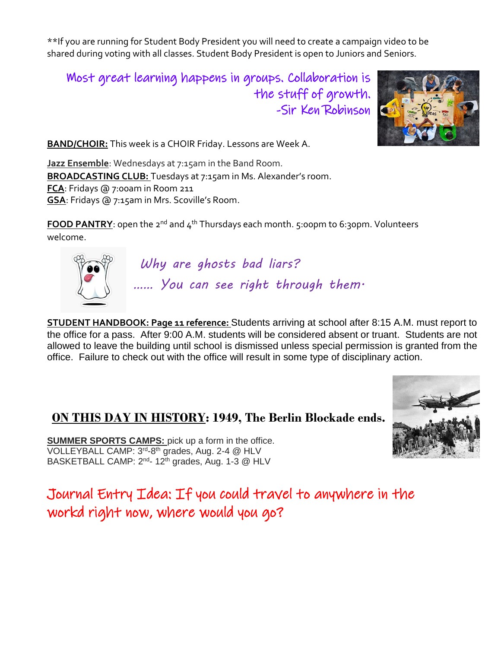\*\*If you are running for Student Body President you will need to create a campaign video to be shared during voting with all classes. Student Body President is open to Juniors and Seniors.

Most great learning happens in groups. Collaboration is the stuff of growth. -Sir Ken Robinson



**BAND/CHOIR:** This week is a CHOIR Friday. Lessons are Week A.

**Jazz Ensemble**: Wednesdays at 7:15am in the Band Room. **BROADCASTING CLUB:** Tuesdays at 7:15am in Ms. Alexander's room. **FCA**: Fridays @ 7:00am in Room 211 **GSA**: Fridays @ 7:15am in Mrs. Scoville's Room.

**FOOD PANTRY**: open the 2<sup>nd</sup> and 4<sup>th</sup> Thursdays each month. 5:00pm to 6:30pm. Volunteers welcome.



*Why are ghosts bad liars? …… You can see right through them.*

**STUDENT HANDBOOK: Page 11 reference:** Students arriving at school after 8:15 A.M. must report to the office for a pass. After 9:00 A.M. students will be considered absent or truant. Students are not allowed to leave the building until school is dismissed unless special permission is granted from the office. Failure to check out with the office will result in some type of disciplinary action.

### **ON THIS DAY IN HISTORY: 1949, The Berlin Blockade ends.**

**SUMMER SPORTS CAMPS:** pick up a form in the office. VOLLEYBALL CAMP: 3<sup>rd</sup>-8<sup>th</sup> grades, Aug. 2-4 @ HLV BASKETBALL CAMP: 2<sup>nd</sup>- 12<sup>th</sup> grades, Aug. 1-3 @ HLV

Journal Entry Idea: If you could travel to anywhere in the workd right now, where would you go?